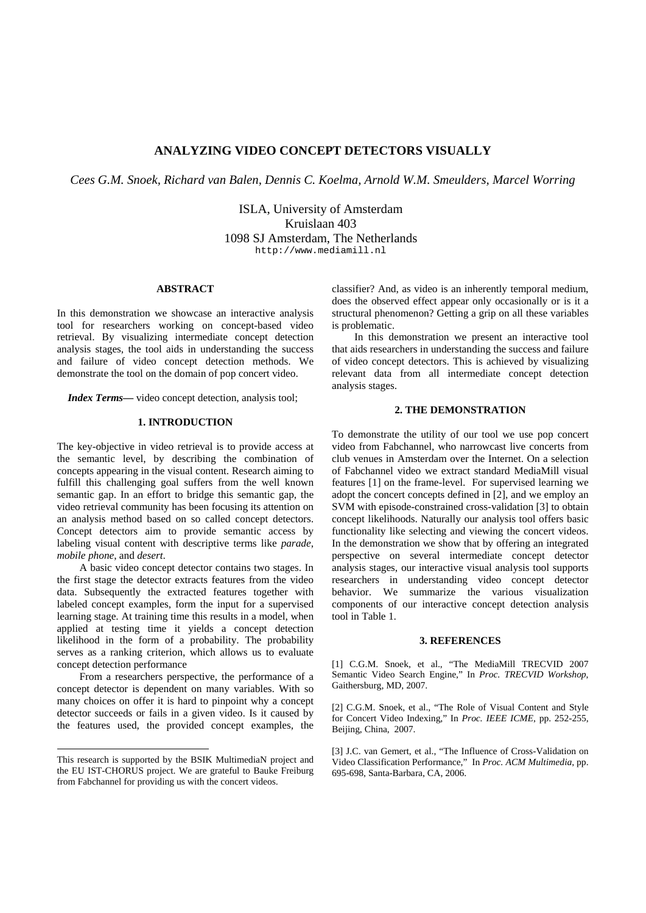# **ANALYZING VIDEO CONCEPT DETECTORS VISUALLY**

*Cees G.M. Snoek, Richard van Balen, Dennis C. Koelma, Arnold W.M. Smeulders, Marcel Worring* 

ISLA, University of Amsterdam Kruislaan 403 1098 SJ Amsterdam, The Netherlands http://www.mediamill.nl

#### **ABSTRACT**

In this demonstration we showcase an interactive analysis tool for researchers working on concept-based video retrieval. By visualizing intermediate concept detection analysis stages, the tool aids in understanding the success and failure of video concept detection methods. We demonstrate the tool on the domain of pop concert video.

*Index Terms*— video concept detection, analysis tool;

# **1. INTRODUCTION**

The key-objective in video retrieval is to provide access at the semantic level, by describing the combination of concepts appearing in the visual content. Research aiming to fulfill this challenging goal suffers from the well known semantic gap. In an effort to bridge this semantic gap, the video retrieval community has been focusing its attention on an analysis method based on so called concept detectors. Concept detectors aim to provide semantic access by labeling visual content with descriptive terms like *parade*, *mobile phone*, and *desert*.

A basic video concept detector contains two stages. In the first stage the detector extracts features from the video data. Subsequently the extracted features together with labeled concept examples, form the input for a supervised learning stage. At training time this results in a model, when applied at testing time it yields a concept detection likelihood in the form of a probability. The probability serves as a ranking criterion, which allows us to evaluate concept detection performance

From a researchers perspective, the performance of a concept detector is dependent on many variables. With so many choices on offer it is hard to pinpoint why a concept detector succeeds or fails in a given video. Is it caused by the features used, the provided concept examples, the

-

classifier? And, as video is an inherently temporal medium, does the observed effect appear only occasionally or is it a structural phenomenon? Getting a grip on all these variables is problematic.

In this demonstration we present an interactive tool that aids researchers in understanding the success and failure of video concept detectors. This is achieved by visualizing relevant data from all intermediate concept detection analysis stages.

# **2. THE DEMONSTRATION**

To demonstrate the utility of our tool we use pop concert video from Fabchannel, who narrowcast live concerts from club venues in Amsterdam over the Internet. On a selection of Fabchannel video we extract standard MediaMill visual features [1] on the frame-level. For supervised learning we adopt the concert concepts defined in [2], and we employ an SVM with episode-constrained cross-validation [3] to obtain concept likelihoods. Naturally our analysis tool offers basic functionality like selecting and viewing the concert videos. In the demonstration we show that by offering an integrated perspective on several intermediate concept detector analysis stages, our interactive visual analysis tool supports researchers in understanding video concept detector behavior. We summarize the various visualization components of our interactive concept detection analysis tool in Table 1.

#### **3. REFERENCES**

[1] C.G.M. Snoek, et al., "The MediaMill TRECVID 2007 Semantic Video Search Engine," In *Proc. TRECVID Workshop*, Gaithersburg, MD, 2007.

[2] C.G.M. Snoek, et al., "The Role of Visual Content and Style for Concert Video Indexing," In *Proc. IEEE ICME*, pp. 252-255, Beijing, China, 2007.

This research is supported by the BSIK MultimediaN project and the EU IST-CHORUS project. We are grateful to Bauke Freiburg from Fabchannel for providing us with the concert videos.

<sup>[3]</sup> J.C. van Gemert, et al., "The Influence of Cross-Validation on Video Classification Performance," In *Proc. ACM Multimedia*, pp. 695-698, Santa-Barbara, CA, 2006.